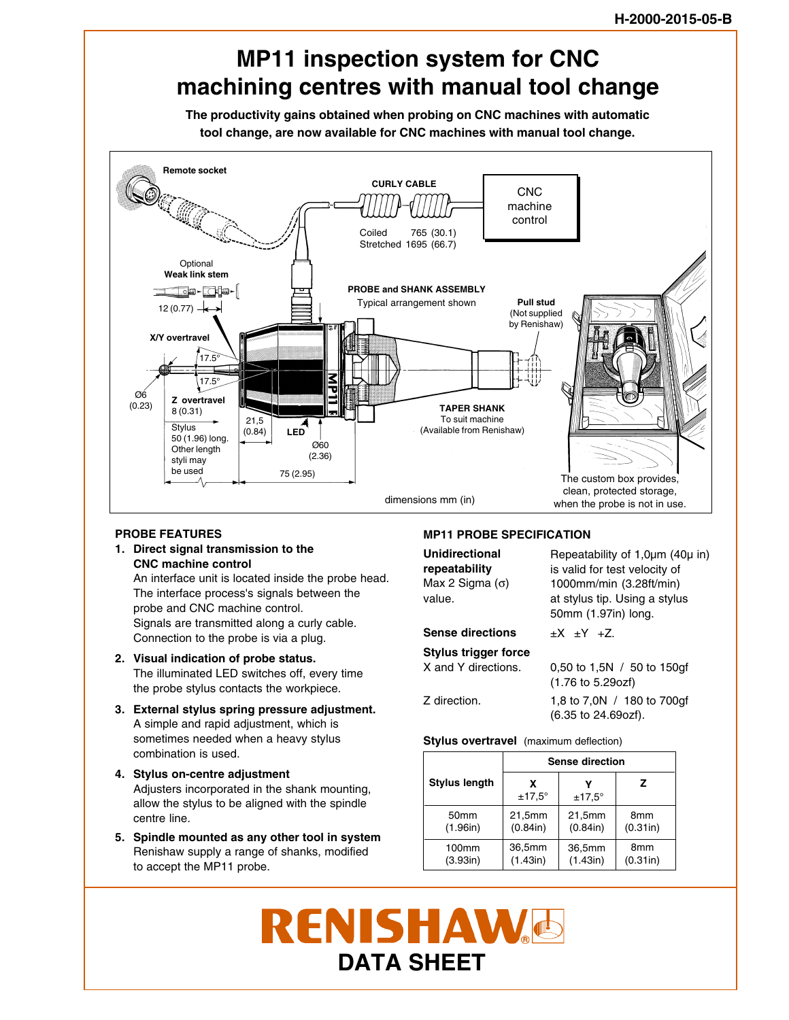# **MP11 inspection system for CNC machining centres with manual tool change**

**The productivity gains obtained when probing on CNC machines with automatic tool change, are now available for CNC machines with manual tool change.**



### **PROBE FEATURES**

**1. Direct signal transmission to the CNC machine control** An interface unit is located inside the probe head. The interface process's signals between the

probe and CNC machine control. Signals are transmitted along a curly cable. Connection to the probe is via a plug.

- **2. Visual indication of probe status.** The illuminated LED switches off, every time the probe stylus contacts the workpiece.
- **3. External stylus spring pressure adjustment.** A simple and rapid adjustment, which is sometimes needed when a heavy stylus combination is used.
- **4. Stylus on-centre adjustment** Adjusters incorporated in the shank mounting, allow the stylus to be aligned with the spindle centre line.
- **5. Spindle mounted as any other tool in system** Renishaw supply a range of shanks, modified to accept the MP11 probe.

## **MP11 PROBE SPECIFICATION**

**Unidirectional repeatability** Max 2 Sigma  $(σ)$ value.

## **Sense directions**

**Stylus trigger force** X and Y directions. Z direction. 0,50 to 1,5N / 50 to 150gf (1.76 to 5.29ozf) 1,8 to 7,0N / 180 to 700gf (6.35 to 24.69ozf).

 $\pm X$   $\pm Y$   $\pm Z$ .

Repeatability of 1,0µm (40µ in) is valid for test velocity of 1000mm/min (3.28ft/min) at stylus tip. Using a stylus 50mm (1.97in) long.

**Stylus overtravel** (maximum deflection)

|                      | Sense direction    |               |                 |
|----------------------|--------------------|---------------|-----------------|
| <b>Stylus length</b> | x<br>$±17.5^\circ$ | $±17.5^\circ$ | z               |
| 50 <sub>mm</sub>     | 21,5mm             | 21,5mm        | 8 <sub>mm</sub> |
| (1.96in)             | (0.84in)           | (0.84in)      | (0.31in)        |
| 100mm                | 36,5mm             | 36,5mm        | 8mm             |
| (3.93in)             | (1.43in)           | (1.43in)      | (0.31in)        |

# **RENISHAW**G **DATA SHEET**